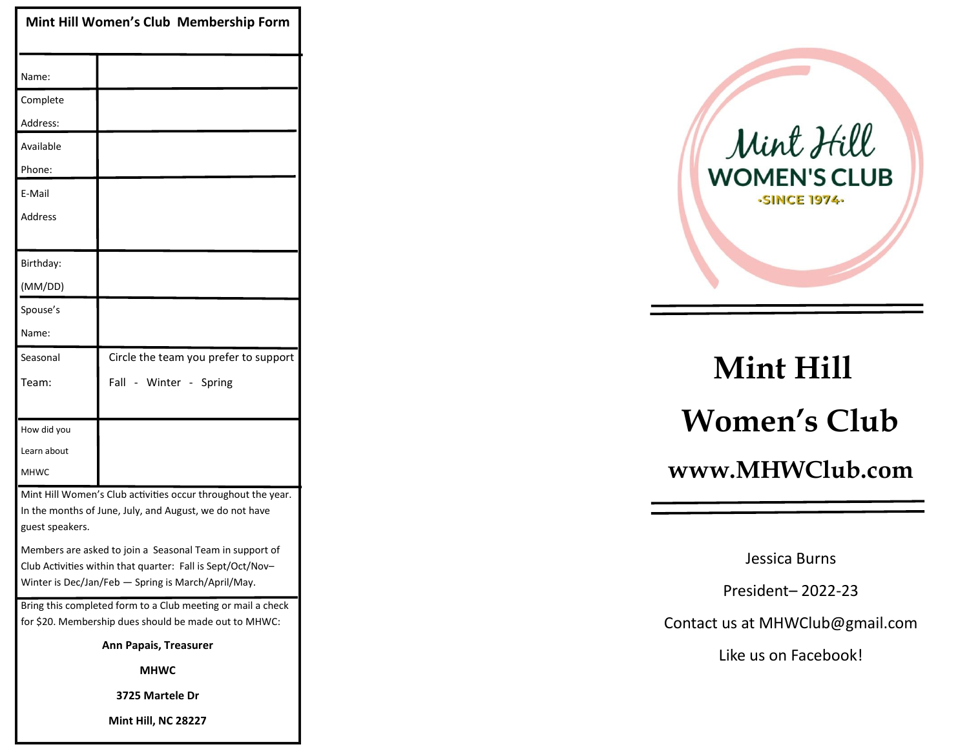| Mint Hill Women's Club Membership Form                                                                                                                                      |                                       |
|-----------------------------------------------------------------------------------------------------------------------------------------------------------------------------|---------------------------------------|
| Name:                                                                                                                                                                       |                                       |
| Complete                                                                                                                                                                    |                                       |
| Address:                                                                                                                                                                    |                                       |
| Available                                                                                                                                                                   |                                       |
| Phone:                                                                                                                                                                      |                                       |
| E-Mail                                                                                                                                                                      |                                       |
| Address                                                                                                                                                                     |                                       |
| Birthday:                                                                                                                                                                   |                                       |
| (MM/DD)                                                                                                                                                                     |                                       |
| Spouse's                                                                                                                                                                    |                                       |
| Name:                                                                                                                                                                       |                                       |
| Seasonal                                                                                                                                                                    | Circle the team you prefer to support |
| Team:                                                                                                                                                                       | Fall - Winter - Spring                |
|                                                                                                                                                                             |                                       |
| How did you                                                                                                                                                                 |                                       |
| Learn about                                                                                                                                                                 |                                       |
| <b>MHWC</b>                                                                                                                                                                 |                                       |
| Mint Hill Women's Club activities occur throughout the year.<br>In the months of June, July, and August, we do not have<br>guest speakers.                                  |                                       |
| Members are asked to join a Seasonal Team in support of<br>Club Activities within that quarter: Fall is Sept/Oct/Nov-<br>Winter is Dec/Jan/Feb - Spring is March/April/May. |                                       |
| Bring this completed form to a Club meeting or mail a check<br>for \$20. Membership dues should be made out to MHWC:                                                        |                                       |
| <b>Ann Papais, Treasurer</b>                                                                                                                                                |                                       |
| <b>MHWC</b>                                                                                                                                                                 |                                       |
| 3725 Martele Dr                                                                                                                                                             |                                       |
| Mint Hill, NC 28227                                                                                                                                                         |                                       |



# **Mint Hill Women's Club www.MHWClub.com**

Jessica Burns

President– 2022-23

Contact us at MHWClub@gmail.com

Like us on Facebook!